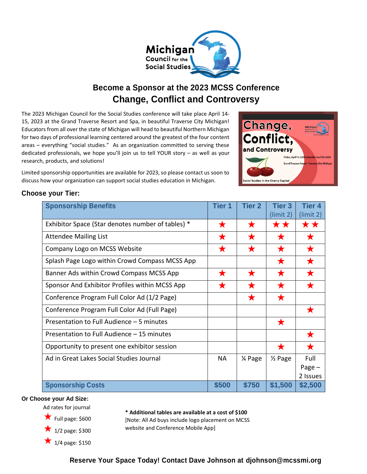

## **Become a Sponsor at the 2023 MCSS Conference Change, Conflict and Controversy**

The 2023 Michigan Council for the Social Studies conference will take place April 14- 15, 2023 at the Grand Traverse Resort and Spa, in beautiful Traverse City Michigan! Educators from all over the state of Michigan will head to beautiful Northern Michigan for two days of professional learning centered around the greatest of the four content areas – everything "social studies." As an organization committed to serving these dedicated professionals, we hope you'll join us to tell YOUR story – as well as your research, products, and solutions!

Limited sponsorship opportunities are available for 2023, so please contact us soon to discuss how your organization can support social studies education in Michigan.



## **Choose your Tier:**

| <b>Sponsorship Benefits</b>                       | <b>Tier 1</b> | <b>Tier 2</b> | <b>Tier 3</b>        | <b>Tier 4</b> |
|---------------------------------------------------|---------------|---------------|----------------------|---------------|
|                                                   |               |               | (limit 2)            | (limit 2)     |
| Exhibitor Space (Star denotes number of tables) * | ★             | $\bigstar$    | **                   | **            |
| <b>Attendee Mailing List</b>                      | ★             | ★             | $\blacktriangledown$ |               |
| Company Logo on MCSS Website                      | $\bigstar$    | $\bigstar$    |                      |               |
| Splash Page Logo within Crowd Compass MCSS App    |               |               | $\blacktriangledown$ |               |
| Banner Ads within Crowd Compass MCSS App          | $\bigstar$    | $\bigstar$    | $\bigstar$           | $\bigstar$    |
| Sponsor And Exhibitor Profiles within MCSS App    | $\bigstar$    | $\bigstar$    | $\bigstar$           |               |
| Conference Program Full Color Ad (1/2 Page)       |               | ★             |                      |               |
| Conference Program Full Color Ad (Full Page)      |               |               |                      |               |
| Presentation to Full Audience - 5 minutes         |               |               |                      |               |
| Presentation to Full Audience - 15 minutes        |               |               |                      | $\bigstar$    |
| Opportunity to present one exhibitor session      |               |               | $\bigstar$           |               |
| Ad in Great Lakes Social Studies Journal          | <b>NA</b>     | 1⁄4 Page      | $\frac{1}{2}$ Page   | Full          |
|                                                   |               |               |                      | Page $-$      |
|                                                   |               |               |                      | 2 Issues      |
| <b>Sponsorship Costs</b>                          | \$500         | \$750         | \$1,500              | \$2,500       |

### **Or Choose your Ad Size:**

Ad rates for journal

 $\star$  Full page: \$600



1/4 page: \$150

**\* Additional tables are available at a cost of \$100** [Note: All Ad buys include logo placement on MCSS website and Conference Mobile App]

**Reserve Your Space Today! Contact Dave Johnson at [djohnson@mcssmi.org](mailto:djohnson@mcssmi.org)**